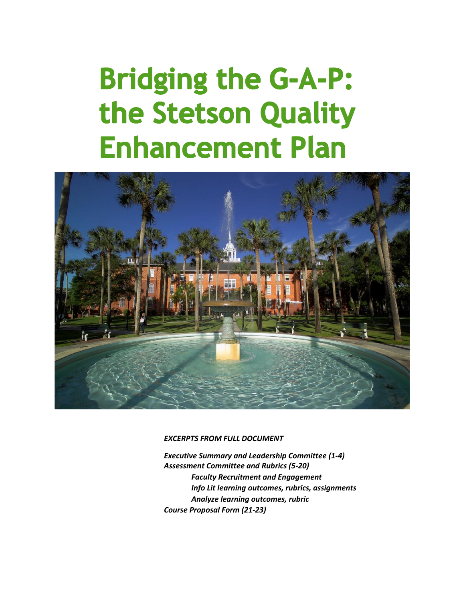# **Bridging the G-A-P:** the Stetson Quality **Enhancement Plan**



*EXCERPTS FROM FULL DOCUMENT*

*Executive Summary and Leadership Committee (1-4) Assessment Committee and Rubrics (5-20) Faculty Recruitment and Engagement Info Lit learning outcomes, rubrics, assignments Analyze learning outcomes, rubric Course Proposal Form (21-23)*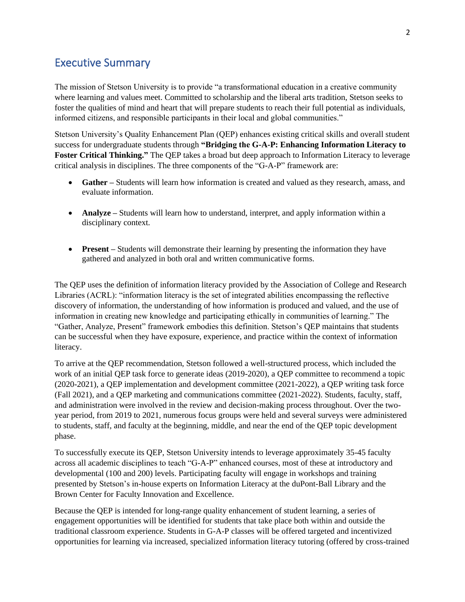# Executive Summary

The mission of Stetson University is to provide "a transformational education in a creative community where learning and values meet. Committed to scholarship and the liberal arts tradition, Stetson seeks to foster the qualities of mind and heart that will prepare students to reach their full potential as individuals, informed citizens, and responsible participants in their local and global communities."

Stetson University's Quality Enhancement Plan (QEP) enhances existing critical skills and overall student success for undergraduate students through **"Bridging the G-A-P: Enhancing Information Literacy to Foster Critical Thinking."** The QEP takes a broad but deep approach to Information Literacy to leverage critical analysis in disciplines. The three components of the "G-A-P" framework are:

- **Gather** Students will learn how information is created and valued as they research, amass, and evaluate information.
- **Analyze** Students will learn how to understand, interpret, and apply information within a disciplinary context.
- **Present** Students will demonstrate their learning by presenting the information they have gathered and analyzed in both oral and written communicative forms.

The QEP uses the definition of information literacy provided by the Association of College and Research Libraries (ACRL): "information literacy is the set of integrated abilities encompassing the reflective discovery of information, the understanding of how information is produced and valued, and the use of information in creating new knowledge and participating ethically in communities of learning." The "Gather, Analyze, Present" framework embodies this definition. Stetson's QEP maintains that students can be successful when they have exposure, experience, and practice within the context of information literacy.

To arrive at the QEP recommendation, Stetson followed a well-structured process, which included the work of an initial QEP task force to generate ideas (2019-2020), a QEP committee to recommend a topic (2020-2021), a QEP implementation and development committee (2021-2022), a QEP writing task force (Fall 2021), and a QEP marketing and communications committee (2021-2022). Students, faculty, staff, and administration were involved in the review and decision-making process throughout. Over the twoyear period, from 2019 to 2021, numerous focus groups were held and several surveys were administered to students, staff, and faculty at the beginning, middle, and near the end of the QEP topic development phase.

To successfully execute its QEP, Stetson University intends to leverage approximately 35-45 faculty across all academic disciplines to teach "G-A-P" enhanced courses, most of these at introductory and developmental (100 and 200) levels. Participating faculty will engage in workshops and training presented by Stetson's in-house experts on Information Literacy at the duPont-Ball Library and the Brown Center for Faculty Innovation and Excellence.

Because the QEP is intended for long-range quality enhancement of student learning, a series of engagement opportunities will be identified for students that take place both within and outside the traditional classroom experience. Students in G-A-P classes will be offered targeted and incentivized opportunities for learning via increased, specialized information literacy tutoring (offered by cross-trained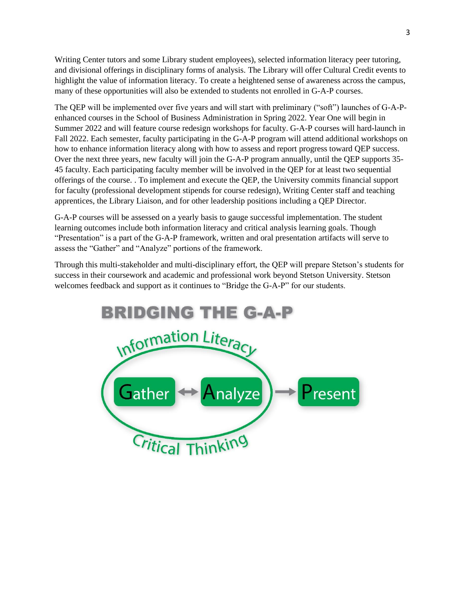Writing Center tutors and some Library student employees), selected information literacy peer tutoring, and divisional offerings in disciplinary forms of analysis. The Library will offer Cultural Credit events to highlight the value of information literacy. To create a heightened sense of awareness across the campus, many of these opportunities will also be extended to students not enrolled in G-A-P courses.

The QEP will be implemented over five years and will start with preliminary ("soft") launches of G-A-Penhanced courses in the School of Business Administration in Spring 2022. Year One will begin in Summer 2022 and will feature course redesign workshops for faculty. G-A-P courses will hard-launch in Fall 2022. Each semester, faculty participating in the G-A-P program will attend additional workshops on how to enhance information literacy along with how to assess and report progress toward QEP success. Over the next three years, new faculty will join the G-A-P program annually, until the QEP supports 35- 45 faculty. Each participating faculty member will be involved in the QEP for at least two sequential offerings of the course. . To implement and execute the QEP, the University commits financial support for faculty (professional development stipends for course redesign), Writing Center staff and teaching apprentices, the Library Liaison, and for other leadership positions including a QEP Director.

G-A-P courses will be assessed on a yearly basis to gauge successful implementation. The student learning outcomes include both information literacy and critical analysis learning goals. Though "Presentation" is a part of the G-A-P framework, written and oral presentation artifacts will serve to assess the "Gather" and "Analyze" portions of the framework.

Through this multi-stakeholder and multi-disciplinary effort, the QEP will prepare Stetson's students for success in their coursework and academic and professional work beyond Stetson University. Stetson welcomes feedback and support as it continues to "Bridge the G-A-P" for our students.

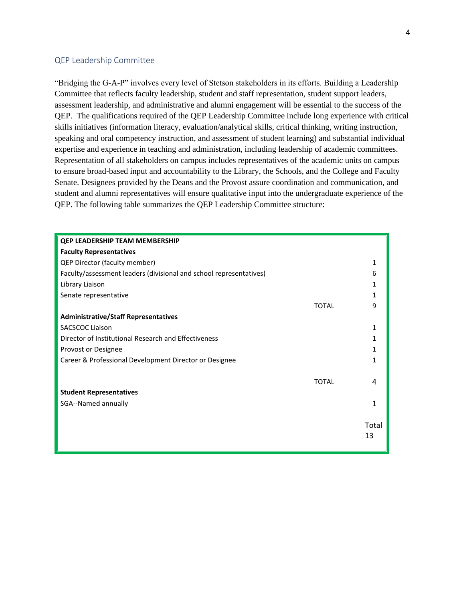# QEP Leadership Committee

"Bridging the G-A-P" involves every level of Stetson stakeholders in its efforts. Building a Leadership Committee that reflects faculty leadership, student and staff representation, student support leaders, assessment leadership, and administrative and alumni engagement will be essential to the success of the QEP. The qualifications required of the QEP Leadership Committee include long experience with critical skills initiatives (information literacy, evaluation/analytical skills, critical thinking, writing instruction, speaking and oral competency instruction, and assessment of student learning) and substantial individual expertise and experience in teaching and administration, including leadership of academic committees. Representation of all stakeholders on campus includes representatives of the academic units on campus to ensure broad-based input and accountability to the Library, the Schools, and the College and Faculty Senate. Designees provided by the Deans and the Provost assure coordination and communication, and student and alumni representatives will ensure qualitative input into the undergraduate experience of the QEP. The following table summarizes the QEP Leadership Committee structure:

| <b>QEP LEADERSHIP TEAM MEMBERSHIP</b>                              |              |       |
|--------------------------------------------------------------------|--------------|-------|
| <b>Faculty Representatives</b>                                     |              |       |
| QEP Director (faculty member)                                      |              |       |
| Faculty/assessment leaders (divisional and school representatives) |              | 6     |
| Library Liaison                                                    |              |       |
| Senate representative                                              |              |       |
|                                                                    | <b>TOTAL</b> | 9     |
| <b>Administrative/Staff Representatives</b>                        |              |       |
| <b>SACSCOC Liaison</b>                                             |              |       |
| Director of Institutional Research and Effectiveness               |              |       |
| Provost or Designee                                                |              |       |
| Career & Professional Development Director or Designee             |              |       |
|                                                                    |              |       |
|                                                                    | <b>TOTAL</b> |       |
| <b>Student Representatives</b>                                     |              |       |
| SGA--Named annually                                                |              |       |
|                                                                    |              |       |
|                                                                    |              | Total |
|                                                                    |              | 13    |
|                                                                    |              |       |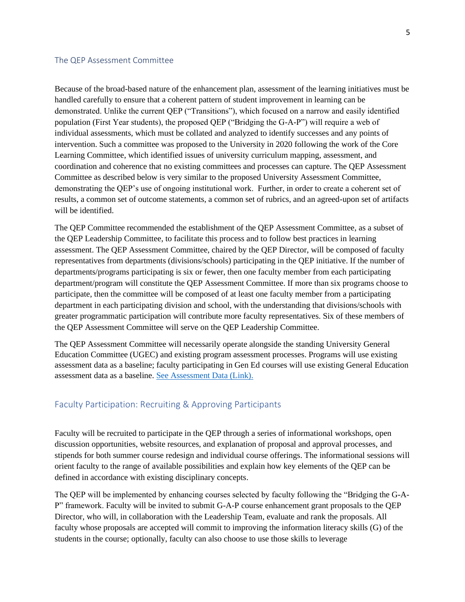#### The QEP Assessment Committee

Because of the broad-based nature of the enhancement plan, assessment of the learning initiatives must be handled carefully to ensure that a coherent pattern of student improvement in learning can be demonstrated. Unlike the current QEP ("Transitions"), which focused on a narrow and easily identified population (First Year students), the proposed QEP ("Bridging the G-A-P") will require a web of individual assessments, which must be collated and analyzed to identify successes and any points of intervention. Such a committee was proposed to the University in 2020 following the work of the Core Learning Committee, which identified issues of university curriculum mapping, assessment, and coordination and coherence that no existing committees and processes can capture. The QEP Assessment Committee as described below is very similar to the proposed University Assessment Committee, demonstrating the QEP's use of ongoing institutional work. Further, in order to create a coherent set of results, a common set of outcome statements, a common set of rubrics, and an agreed-upon set of artifacts will be identified.

The QEP Committee recommended the establishment of the QEP Assessment Committee, as a subset of the QEP Leadership Committee, to facilitate this process and to follow best practices in learning assessment. The QEP Assessment Committee, chaired by the QEP Director, will be composed of faculty representatives from departments (divisions/schools) participating in the QEP initiative. If the number of departments/programs participating is six or fewer, then one faculty member from each participating department/program will constitute the QEP Assessment Committee. If more than six programs choose to participate, then the committee will be composed of at least one faculty member from a participating department in each participating division and school, with the understanding that divisions/schools with greater programmatic participation will contribute more faculty representatives. Six of these members of the QEP Assessment Committee will serve on the QEP Leadership Committee.

The QEP Assessment Committee will necessarily operate alongside the standing University General Education Committee (UGEC) and existing program assessment processes. Programs will use existing assessment data as a baseline; faculty participating in Gen Ed courses will use existing General Education assessment data as a baseline. See Assessment Data (Link).

# Faculty Participation: Recruiting & Approving Participants

Faculty will be recruited to participate in the QEP through a series of informational workshops, open discussion opportunities, website resources, and explanation of proposal and approval processes, and stipends for both summer course redesign and individual course offerings. The informational sessions will orient faculty to the range of available possibilities and explain how key elements of the QEP can be defined in accordance with existing disciplinary concepts.

The QEP will be implemented by enhancing courses selected by faculty following the "Bridging the G-A-P" framework. Faculty will be invited to submit G-A-P course enhancement grant proposals to the QEP Director, who will, in collaboration with the Leadership Team, evaluate and rank the proposals. All faculty whose proposals are accepted will commit to improving the information literacy skills (G) of the students in the course; optionally, faculty can also choose to use those skills to leverage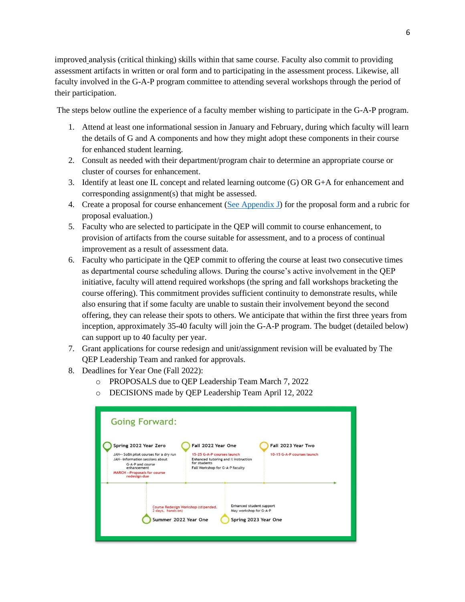improved analysis (critical thinking) skills within that same course. Faculty also commit to providing assessment artifacts in written or oral form and to participating in the assessment process. Likewise, all faculty involved in the G-A-P program committee to attending several workshops through the period of their participation.

The steps below outline the experience of a faculty member wishing to participate in the G-A-P program.

- 1. Attend at least one informational session in January and February, during which faculty will learn the details of G and A components and how they might adopt these components in their course for enhanced student learning.
- 2. Consult as needed with their department/program chair to determine an appropriate course or cluster of courses for enhancement.
- 3. Identify at least one IL concept and related learning outcome (G) OR G+A for enhancement and corresponding assignment(s) that might be assessed.
- 4. Create a proposal for course enhancement (See Appendix J) for the proposal form and a rubric for proposal evaluation.)
- 5. Faculty who are selected to participate in the QEP will commit to course enhancement, to provision of artifacts from the course suitable for assessment, and to a process of continual improvement as a result of assessment data.
- 6. Faculty who participate in the QEP commit to offering the course at least two consecutive times as departmental course scheduling allows. During the course's active involvement in the QEP initiative, faculty will attend required workshops (the spring and fall workshops bracketing the course offering). This commitment provides sufficient continuity to demonstrate results, while also ensuring that if some faculty are unable to sustain their involvement beyond the second offering, they can release their spots to others. We anticipate that within the first three years from inception, approximately 35-40 faculty will join the G-A-P program. The budget (detailed below) can support up to 40 faculty per year.
- 7. Grant applications for course redesign and unit/assignment revision will be evaluated by The QEP Leadership Team and ranked for approvals.
- 8. Deadlines for Year One (Fall 2022):
	- o PROPOSALS due to QEP Leadership Team March 7, 2022
	- o DECISIONS made by QEP Leadership Team April 12, 2022

| <b>Going Forward:</b>                                                                                                                                                                          |                                                                                                                                             |                                                  |
|------------------------------------------------------------------------------------------------------------------------------------------------------------------------------------------------|---------------------------------------------------------------------------------------------------------------------------------------------|--------------------------------------------------|
| Spring 2022 Year Zero<br>JAN -- SoBA pilot courses for a dry run<br>JAN--Information sessions about<br>G-A-P and course<br>enhancement<br><b>MARCH</b> -- Proposals for course<br>redesign due | Fall 2022 Year One<br>15-25 G-A-P courses launch<br>Enhanced tutoring and Il instruction<br>for students<br>Fall Workshop for G-A-P faculty | Fall 2023 Year Two<br>10-15 G-A-P courses launch |
| Course Redesign Workshop (stipended,<br>2 days, hands on)<br>Summer 2022 Year One                                                                                                              | Enhanced student support<br>May workshop for G-A-P<br>Spring 2023 Year One                                                                  |                                                  |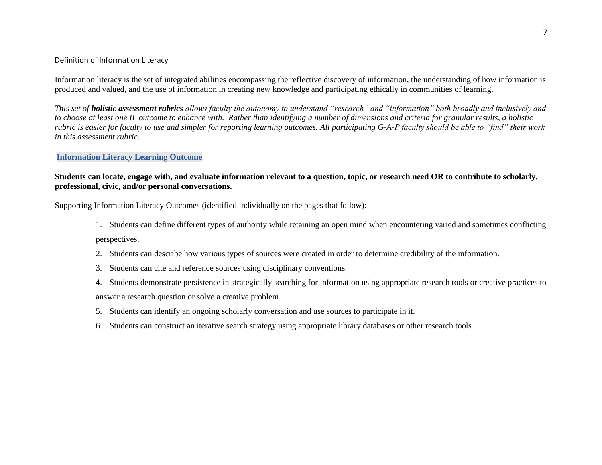#### Definition of Information Literacy

Information literacy is the set of integrated abilities encompassing the reflective discovery of information, the understanding of how information is produced and valued, and the use of information in creating new knowledge and participating ethically in communities of learning.

*This set of holistic assessment rubrics allows faculty the autonomy to understand "research" and "information" both broadly and inclusively and to choose at least one IL outcome to enhance with. Rather than identifying a number of dimensions and criteria for granular results, a holistic rubric is easier for faculty to use and simpler for reporting learning outcomes. All participating G-A-P faculty should be able to "find" their work in this assessment rubric.*

# **Information Literacy Learning Outcome**

# **Students can locate, engage with, and evaluate information relevant to a question, topic, or research need OR to contribute to scholarly, professional, civic, and/or personal conversations.**

Supporting Information Literacy Outcomes (identified individually on the pages that follow):

- 1. Students can define different types of authority while retaining an open mind when encountering varied and sometimes conflicting perspectives.
- 2. Students can describe how various types of sources were created in order to determine credibility of the information.
- 3. Students can cite and reference sources using disciplinary conventions.
- 4. Students demonstrate persistence in strategically searching for information using appropriate research tools or creative practices to answer a research question or solve a creative problem.
- 5. Students can identify an ongoing scholarly conversation and use sources to participate in it.
- 6. Students can construct an iterative search strategy using appropriate library databases or other research tools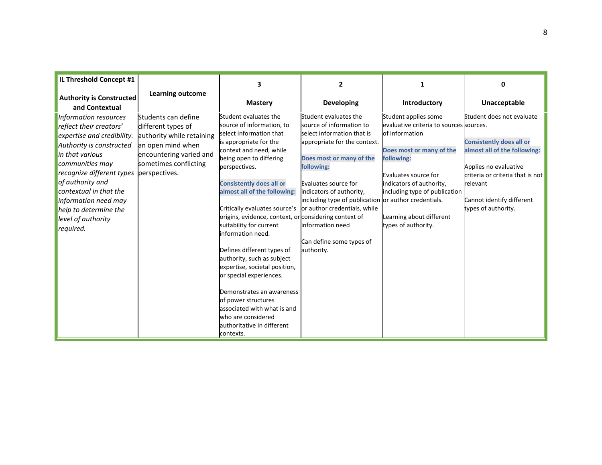| IL Threshold Concept #1                                                                                                                                                                                                                                                                                         |                                                                                                                                                                  | 3                                                                                                                                                                                                                                                                                                                                                                                                                                                                                                                                                                                                                                                                       | $\overline{\phantom{a}}$                                                                                                                                                                                                                                                                                                                                            |                                                                                                                                                                                                                                                                     | o                                                                                                                                                                                                                         |
|-----------------------------------------------------------------------------------------------------------------------------------------------------------------------------------------------------------------------------------------------------------------------------------------------------------------|------------------------------------------------------------------------------------------------------------------------------------------------------------------|-------------------------------------------------------------------------------------------------------------------------------------------------------------------------------------------------------------------------------------------------------------------------------------------------------------------------------------------------------------------------------------------------------------------------------------------------------------------------------------------------------------------------------------------------------------------------------------------------------------------------------------------------------------------------|---------------------------------------------------------------------------------------------------------------------------------------------------------------------------------------------------------------------------------------------------------------------------------------------------------------------------------------------------------------------|---------------------------------------------------------------------------------------------------------------------------------------------------------------------------------------------------------------------------------------------------------------------|---------------------------------------------------------------------------------------------------------------------------------------------------------------------------------------------------------------------------|
| <b>Authority is Constructed</b><br>and Contextual                                                                                                                                                                                                                                                               | Learning outcome                                                                                                                                                 | <b>Mastery</b>                                                                                                                                                                                                                                                                                                                                                                                                                                                                                                                                                                                                                                                          | <b>Developing</b>                                                                                                                                                                                                                                                                                                                                                   | Introductory                                                                                                                                                                                                                                                        | Unacceptable                                                                                                                                                                                                              |
| Information resources<br>reflect their creators'<br>expertise and credibility.<br>Authority is constructed<br>in that various<br>communities may<br>recognize different types<br>of authority and<br>contextual in that the<br>information need may<br>help to determine the<br>level of authority<br>required. | Students can define<br>different types of<br>authority while retaining<br>an open mind when<br>encountering varied and<br>sometimes conflicting<br>perspectives. | Student evaluates the<br>source of information, to<br>select information that<br>is appropriate for the<br>context and need, while<br>being open to differing<br>perspectives.<br><b>Consistently does all or</b><br>almost all of the following:<br>Critically evaluates source's<br>origins, evidence, context, or considering context of<br>suitability for current<br>information need.<br>Defines different types of<br>authority, such as subject<br>expertise, societal position,<br>or special experiences.<br>Demonstrates an awareness<br>of power structures<br>associated with what is and<br>who are considered<br>authoritative in different<br>contexts. | Student evaluates the<br>source of information to<br>select information that is<br>appropriate for the context.<br>Does most or many of the<br>following:<br>Evaluates source for<br>indicators of authority,<br>including type of publication or author credentials.<br>or author credentials, while<br>information need<br>Can define some types of<br>authority. | Student applies some<br>evaluative criteria to sources sources.<br>of information<br>Does most or many of the<br>following:<br>Evaluates source for<br>indicators of authority,<br>including type of publication<br>Learning about different<br>types of authority. | Student does not evaluate<br><b>Consistently does all or</b><br>almost all of the following:<br>Applies no evaluative<br>criteria or criteria that is not<br>relevant<br>Cannot identify different<br>types of authority. |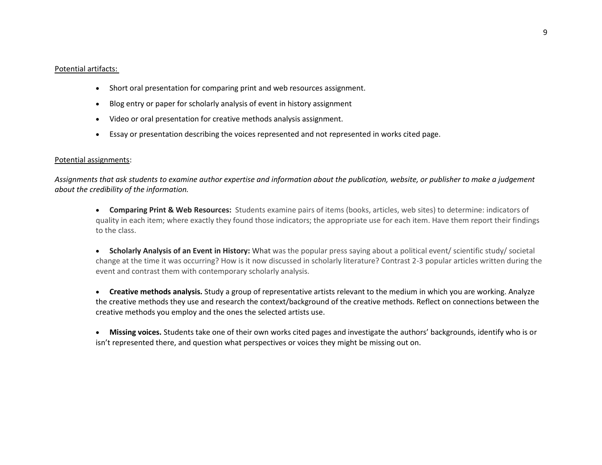- Short oral presentation for comparing print and web resources assignment.
- Blog entry or paper for scholarly analysis of event in history assignment
- Video or oral presentation for creative methods analysis assignment.
- Essay or presentation describing the voices represented and not represented in works cited page.

#### Potential assignments:

*Assignments that ask students to examine author expertise and information about the publication, website, or publisher to make a judgement about the credibility of the information.*

• **Comparing Print & Web Resources:**  Students examine pairs of items (books, articles, web sites) to determine: indicators of quality in each item; where exactly they found those indicators; the appropriate use for each item. Have them report their findings to the class.

• **Scholarly Analysis of an Event in History:** What was the popular press saying about a political event/ scientific study/ societal change at the time it was occurring? How is it now discussed in scholarly literature? Contrast 2-3 popular articles written during the event and contrast them with contemporary scholarly analysis. 

• **Creative methods analysis.** Study a group of representative artists relevant to the medium in which you are working. Analyze the creative methods they use and research the context/background of the creative methods. Reflect on connections between the creative methods you employ and the ones the selected artists use.

• **Missing voices.** Students take one of their own works cited pages and investigate the authors' backgrounds, identify who is or isn't represented there, and question what perspectives or voices they might be missing out on.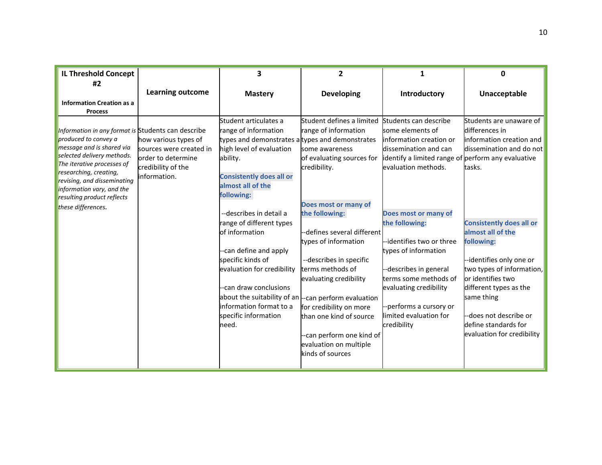| <b>IL Threshold Concept</b>                                                                                                                                                                                                                                                                                                     |                                                                                                             | 3                                                                                                                                                                                                                                                                     | 2                                                                                                                                                                                                                                                           | 1                                                                                                                                                                                               | 0                                                                                                                                                                                                                                  |
|---------------------------------------------------------------------------------------------------------------------------------------------------------------------------------------------------------------------------------------------------------------------------------------------------------------------------------|-------------------------------------------------------------------------------------------------------------|-----------------------------------------------------------------------------------------------------------------------------------------------------------------------------------------------------------------------------------------------------------------------|-------------------------------------------------------------------------------------------------------------------------------------------------------------------------------------------------------------------------------------------------------------|-------------------------------------------------------------------------------------------------------------------------------------------------------------------------------------------------|------------------------------------------------------------------------------------------------------------------------------------------------------------------------------------------------------------------------------------|
| #2<br><b>Information Creation as a</b>                                                                                                                                                                                                                                                                                          | <b>Learning outcome</b>                                                                                     | <b>Mastery</b>                                                                                                                                                                                                                                                        | <b>Developing</b>                                                                                                                                                                                                                                           | Introductory                                                                                                                                                                                    | Unacceptable                                                                                                                                                                                                                       |
| <b>Process</b><br>Information in any format is Students can describe<br>produced to convey a<br>message and is shared via<br>selected delivery methods.<br>The iterative processes of<br>researching, creating,<br>revising, and disseminating<br>information vary, and the<br>resulting product reflects<br>these differences. | how various types of<br>sources were created in<br>order to determine<br>credibility of the<br>information. | Student articulates a<br>range of information<br>types and demonstrates a types and demonstrates<br>high level of evaluation<br>ability.<br><b>Consistently does all or</b><br>almost all of the<br>following:<br>--describes in detail a<br>range of different types | Student defines a limited Students can describe<br>range of information<br>some awareness<br>of evaluating sources for<br>credibility.<br>Does most or many of<br>the following:                                                                            | some elements of<br>linformation creation or<br>dissemination and can<br>identify a limited range of perform any evaluative<br>evaluation methods.<br>Does most or many of<br>the following:    | Students are unaware of<br>differences in<br>information creation and<br>dissemination and do not<br>tasks.<br><b>Consistently does all or</b>                                                                                     |
|                                                                                                                                                                                                                                                                                                                                 |                                                                                                             | of information<br>-can define and apply<br>specific kinds of<br>evaluation for credibility<br>-can draw conclusions<br>about the suitability of an -- can perform evaluation<br>information format to a<br>specific information<br>need.                              | -defines several different<br>types of information<br>--describes in specific<br>terms methods of<br>evaluating credibility<br>for credibility on more<br>than one kind of source<br>-can perform one kind of<br>evaluation on multiple<br>kinds of sources | identifies two or three-<br>types of information<br>-describes in general<br>terms some methods of<br>evaluating credibility<br>-performs a cursory or<br>limited evaluation for<br>credibility | almost all of the<br>following:<br>identifies only one or<br>two types of information,<br>or identifies two<br>different types as the<br>same thing<br>-does not describe or<br>define standards for<br>evaluation for credibility |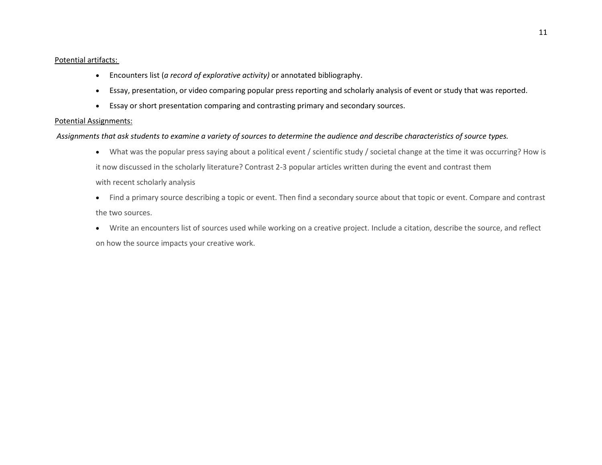- Encounters list (*a record of explorative activity)* or annotated bibliography.
- Essay, presentation, or video comparing popular press reporting and scholarly analysis of event or study that was reported.
- Essay or short presentation comparing and contrasting primary and secondary sources.

# Potential Assignments:

# *Assignments that ask students to examine a variety of sources to determine the audience and describe characteristics of source types.*

- What was the popular press saying about a political event / scientific study / societal change at the time it was occurring? How is it now discussed in the scholarly literature? Contrast 2-3 popular articles written during the event and contrast them with recent scholarly analysis
- Find a primary source describing a topic or event. Then find a secondary source about that topic or event. Compare and contrast the two sources.
- Write an encounters list of sources used while working on a creative project. Include a citation, describe the source, and reflect on how the source impacts your creative work.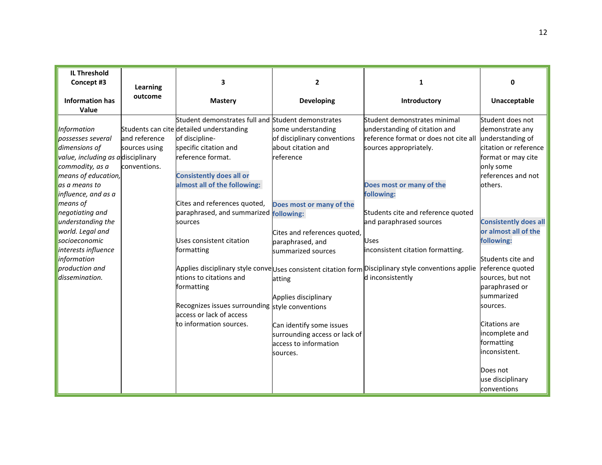| <b>IL Threshold</b>               |               |                                                    |                               |                                                                                                      |                              |
|-----------------------------------|---------------|----------------------------------------------------|-------------------------------|------------------------------------------------------------------------------------------------------|------------------------------|
| Concept #3                        | Learning      | 3                                                  | $\mathbf{2}$                  | 1                                                                                                    | 0                            |
| <b>Information has</b>            | outcome       | <b>Mastery</b>                                     | Developing                    | Introductory                                                                                         | Unacceptable                 |
| Value                             |               |                                                    |                               |                                                                                                      |                              |
|                                   |               | Student demonstrates full and Student demonstrates |                               | Student demonstrates minimal                                                                         | Student does not             |
| Information                       |               | Students can cite detailed understanding           | some understanding            | understanding of citation and                                                                        | demonstrate any              |
| possesses several                 | and reference | of discipline-                                     | of disciplinary conventions   | reference format or does not cite all                                                                | understanding of             |
| dimensions of                     | sources using | specific citation and                              | about citation and            | sources appropriately.                                                                               | citation or reference        |
| value, including as adisciplinary |               | reference format.                                  | <b>I</b> reference            |                                                                                                      | format or may cite           |
| commodity, as a                   | conventions.  |                                                    |                               |                                                                                                      | only some                    |
| means of education,               |               | <b>Consistently does all or</b>                    |                               |                                                                                                      | references and not           |
| as a means to                     |               | almost all of the following:                       |                               | Does most or many of the                                                                             | others.                      |
| influence, and as a               |               |                                                    |                               | following:                                                                                           |                              |
| means of                          |               | Cites and references quoted,                       | Does most or many of the      |                                                                                                      |                              |
| negotiating and                   |               | paraphrased, and summarized following:             |                               | Students cite and reference quoted                                                                   |                              |
| understanding the                 |               | sources                                            |                               | and paraphrased sources                                                                              | <b>Consistently does all</b> |
| world. Legal and                  |               |                                                    | Cites and references quoted,  |                                                                                                      | or almost all of the         |
| socioeconomic                     |               | Uses consistent citation                           | paraphrased, and              | <b>Uses</b>                                                                                          | following:                   |
| interests influence               |               | formatting                                         | summarized sources            | inconsistent citation formatting.                                                                    |                              |
| information                       |               |                                                    |                               |                                                                                                      | Students cite and            |
| production and                    |               |                                                    |                               | Applies disciplinary style convelUses consistent citation form Disciplinary style conventions applie | reference quoted             |
| dissemination.                    |               | ntions to citations and                            | atting                        | d inconsistently                                                                                     | sources, but not             |
|                                   |               | formatting                                         |                               |                                                                                                      | paraphrased or               |
|                                   |               |                                                    | Applies disciplinary          |                                                                                                      | summarized                   |
|                                   |               | Recognizes issues surrounding style conventions    |                               |                                                                                                      | sources.                     |
|                                   |               | access or lack of access                           |                               |                                                                                                      |                              |
|                                   |               | to information sources.                            | Can identify some issues      |                                                                                                      | Citations are                |
|                                   |               |                                                    | surrounding access or lack of |                                                                                                      | incomplete and               |
|                                   |               |                                                    | access to information         |                                                                                                      | formatting                   |
|                                   |               |                                                    | sources.                      |                                                                                                      | inconsistent.                |
|                                   |               |                                                    |                               |                                                                                                      |                              |
|                                   |               |                                                    |                               |                                                                                                      | Does not                     |
|                                   |               |                                                    |                               |                                                                                                      | use disciplinary             |
|                                   |               |                                                    |                               |                                                                                                      | conventions                  |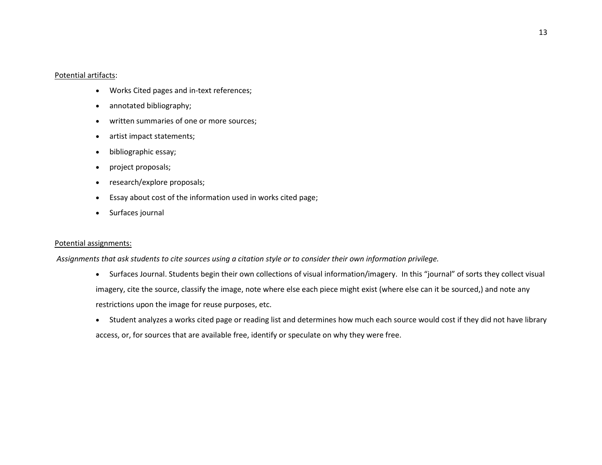- Works Cited pages and in-text references;
- annotated bibliography;
- written summaries of one or more sources;
- artist impact statements;
- bibliographic essay;
- project proposals;
- research/explore proposals;
- Essay about cost of the information used in works cited page;
- Surfaces journal

#### Potential assignments:

*Assignments that ask students to cite sources using a citation style or to consider their own information privilege.*

- Surfaces Journal. Students begin their own collections of visual information/imagery. In this "journal" of sorts they collect visual imagery, cite the source, classify the image, note where else each piece might exist (where else can it be sourced,) and note any restrictions upon the image for reuse purposes, etc.
- Student analyzes a works cited page or reading list and determines how much each source would cost if they did not have library access, or, for sources that are available free, identify or speculate on why they were free.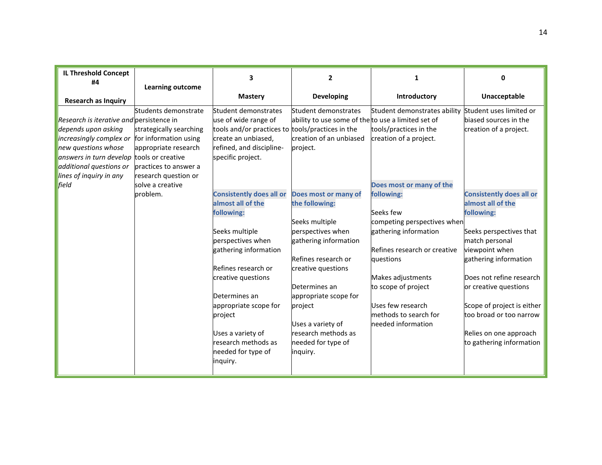| <b>IL Threshold Concept</b><br>#4                                                                                                                                                                                             |                                                                                                                                                                                   | 3                                                                                                                                                                                                                                                                                                                                                                                                                                                                                  | 2                                                                                                                                                                                                                                                                                                                                                                                                           | 1                                                                                                                                                                                                                                                                                                                                                            | 0                                                                                                                                                                                                                                                                                                                                                                                                            |
|-------------------------------------------------------------------------------------------------------------------------------------------------------------------------------------------------------------------------------|-----------------------------------------------------------------------------------------------------------------------------------------------------------------------------------|------------------------------------------------------------------------------------------------------------------------------------------------------------------------------------------------------------------------------------------------------------------------------------------------------------------------------------------------------------------------------------------------------------------------------------------------------------------------------------|-------------------------------------------------------------------------------------------------------------------------------------------------------------------------------------------------------------------------------------------------------------------------------------------------------------------------------------------------------------------------------------------------------------|--------------------------------------------------------------------------------------------------------------------------------------------------------------------------------------------------------------------------------------------------------------------------------------------------------------------------------------------------------------|--------------------------------------------------------------------------------------------------------------------------------------------------------------------------------------------------------------------------------------------------------------------------------------------------------------------------------------------------------------------------------------------------------------|
| <b>Research as Inquiry</b>                                                                                                                                                                                                    | <b>Learning outcome</b>                                                                                                                                                           | <b>Mastery</b>                                                                                                                                                                                                                                                                                                                                                                                                                                                                     | <b>Developing</b>                                                                                                                                                                                                                                                                                                                                                                                           | Introductory                                                                                                                                                                                                                                                                                                                                                 | Unacceptable                                                                                                                                                                                                                                                                                                                                                                                                 |
| Research is iterative and persistence in<br>depends upon asking<br>increasingly complex or<br>new questions whose<br>answers in turn develop tools or creative<br>additional questions or<br>lines of inquiry in any<br>field | Students demonstrate<br>strategically searching<br>for information using<br>appropriate research<br>practices to answer a<br>research question or<br>solve a creative<br>problem. | Student demonstrates<br>use of wide range of<br>tools and/or practices to tools/practices in the<br>create an unbiased,<br>refined, and discipline-<br>specific project.<br><b>Consistently does all or</b><br>almost all of the<br>following:<br>Seeks multiple<br>perspectives when<br>gathering information<br>Refines research or<br>creative questions<br>Determines an<br>appropriate scope for<br>project<br>Uses a variety of<br>research methods as<br>needed for type of | Student demonstrates<br>ability to use some of the to use a limited set of<br>creation of an unbiased<br>project.<br>Does most or many of<br>the following:<br>Seeks multiple<br>perspectives when<br>gathering information<br>Refines research or<br>creative questions<br>Determines an<br>appropriate scope for<br>project<br>Uses a variety of<br>research methods as<br>needed for type of<br>inquiry. | Student demonstrates ability<br>tools/practices in the<br>creation of a project.<br>Does most or many of the<br>following:<br>Seeks few<br>competing perspectives when<br>gathering information<br>Refines research or creative<br>questions<br>Makes adjustments<br>to scope of project<br>Uses few research<br>methods to search for<br>needed information | Student uses limited or<br>biased sources in the<br>creation of a project.<br><b>Consistently does all or</b><br>almost all of the<br>following:<br>Seeks perspectives that<br>match personal<br>viewpoint when<br>gathering information<br>Does not refine research<br>or creative questions<br>Scope of project is either<br>too broad or too narrow<br>Relies on one approach<br>to gathering information |
|                                                                                                                                                                                                                               |                                                                                                                                                                                   | inquiry.                                                                                                                                                                                                                                                                                                                                                                                                                                                                           |                                                                                                                                                                                                                                                                                                                                                                                                             |                                                                                                                                                                                                                                                                                                                                                              |                                                                                                                                                                                                                                                                                                                                                                                                              |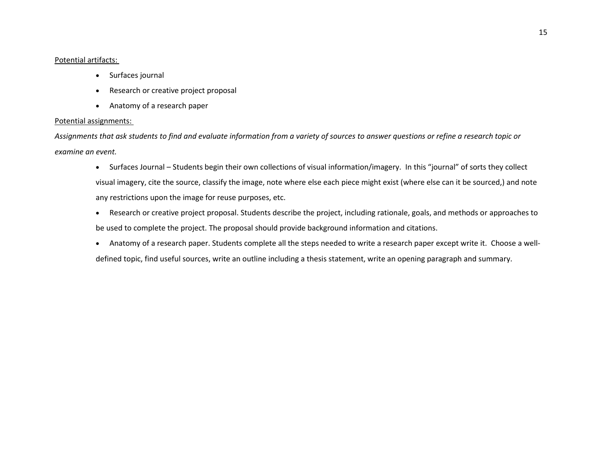- Surfaces journal
- Research or creative project proposal
- Anatomy of a research paper

# Potential assignments:

*Assignments that ask students to find and evaluate information from a variety of sources to answer questions or refine a research topic or examine an event.*

- Surfaces Journal Students begin their own collections of visual information/imagery. In this "journal" of sorts they collect visual imagery, cite the source, classify the image, note where else each piece might exist (where else can it be sourced,) and note any restrictions upon the image for reuse purposes, etc.
- Research or creative project proposal. Students describe the project, including rationale, goals, and methods or approaches to be used to complete the project. The proposal should provide background information and citations.
- Anatomy of a research paper. Students complete all the steps needed to write a research paper except write it. Choose a welldefined topic, find useful sources, write an outline including a thesis statement, write an opening paragraph and summary.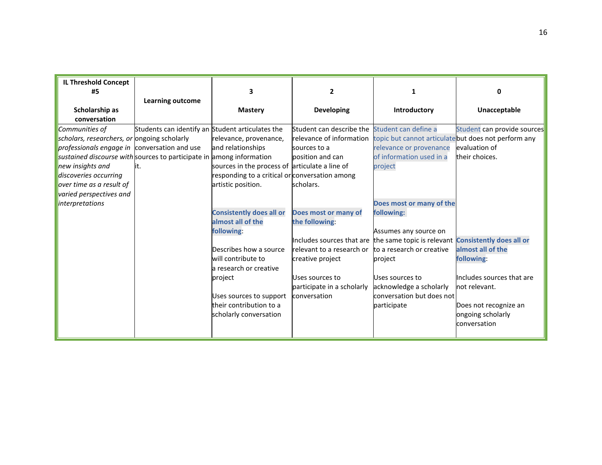| <b>IL Threshold Concept</b><br>#5            |                                                                      | 3                                              | $\overline{2}$             | $\mathbf 1$                                                                   | 0                           |
|----------------------------------------------|----------------------------------------------------------------------|------------------------------------------------|----------------------------|-------------------------------------------------------------------------------|-----------------------------|
|                                              | <b>Learning outcome</b>                                              |                                                |                            |                                                                               |                             |
| Scholarship as                               |                                                                      | <b>Mastery</b>                                 | <b>Developing</b>          | Introductory                                                                  | Unacceptable                |
| conversation                                 |                                                                      |                                                |                            |                                                                               |                             |
| Communities of                               | Students can identify an Student articulates the                     |                                                | Student can describe the   | Student can define a                                                          | Student can provide sources |
| scholars, researchers, or ongoing scholarly  |                                                                      | relevance, provenance,                         | relevance of information   | topic but cannot articulate but does not perform any                          |                             |
| professionals engage in conversation and use |                                                                      | and relationships                              | sources to a               | relevance or provenance                                                       | evaluation of               |
|                                              | sustained discourse with sources to participate in among information |                                                | position and can           | of information used in a                                                      | their choices.              |
| new insights and                             | lit.                                                                 | sources in the process of articulate a line of |                            | project                                                                       |                             |
| discoveries occurring                        |                                                                      | responding to a critical or conversation among |                            |                                                                               |                             |
| over time as a result of                     |                                                                      | artistic position.                             | scholars.                  |                                                                               |                             |
| varied perspectives and                      |                                                                      |                                                |                            |                                                                               |                             |
| <i>interpretations</i>                       |                                                                      |                                                |                            | Does most or many of the                                                      |                             |
|                                              |                                                                      | <b>Consistently does all or</b>                | Does most or many of       | following:                                                                    |                             |
|                                              |                                                                      | almost all of the                              | the following:             |                                                                               |                             |
|                                              |                                                                      | following:                                     |                            | Assumes any source on                                                         |                             |
|                                              |                                                                      |                                                |                            | Includes sources that are the same topic is relevant Consistently does all or |                             |
|                                              |                                                                      | Describes how a source                         | relevant to a research or  | to a research or creative                                                     | almost all of the           |
|                                              |                                                                      | will contribute to                             | creative project           | project                                                                       | following:                  |
|                                              |                                                                      | a research or creative                         |                            |                                                                               |                             |
|                                              |                                                                      | project                                        | Uses sources to            | Uses sources to                                                               | Includes sources that are   |
|                                              |                                                                      |                                                | participate in a scholarly | acknowledge a scholarly                                                       | not relevant.               |
|                                              |                                                                      | Uses sources to support                        | conversation               | conversation but does not                                                     |                             |
|                                              |                                                                      | their contribution to a                        |                            | participate                                                                   | Does not recognize an       |
|                                              |                                                                      | scholarly conversation                         |                            |                                                                               | ongoing scholarly           |
|                                              |                                                                      |                                                |                            |                                                                               | conversation                |
|                                              |                                                                      |                                                |                            |                                                                               |                             |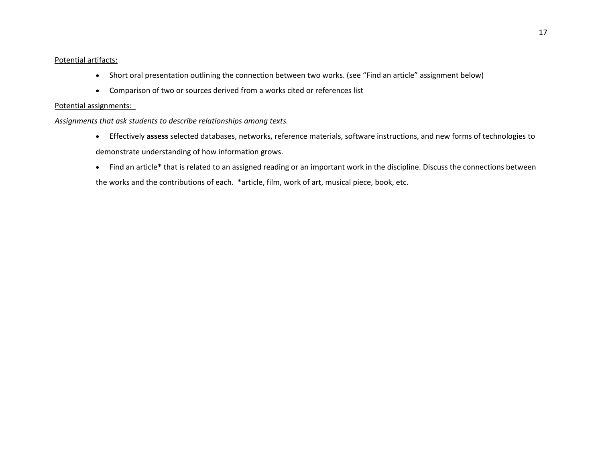- Short oral presentation outlining the connection between two works. (see "Find an article" assignment below)
- Comparison of two or sources derived from a works cited or references list

# Potential assignments:

*Assignments that ask students to describe relationships among texts.*

- Effectively **assess** selected databases, networks, reference materials, software instructions, and new forms of technologies to demonstrate understanding of how information grows.
- Find an article\* that is related to an assigned reading or an important work in the discipline. Discuss the connections between the works and the contributions of each. \*article, film, work of art, musical piece, book, etc.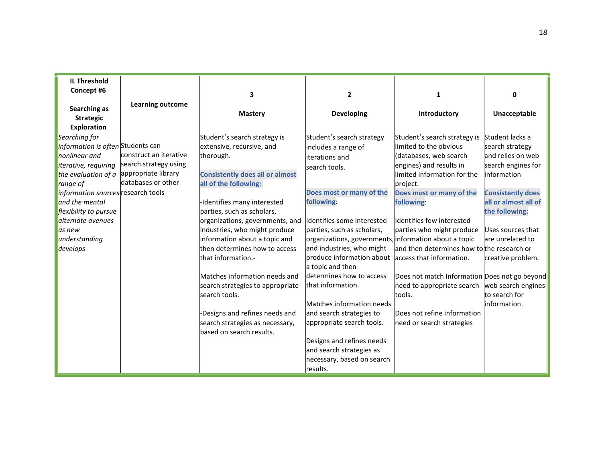| <b>IL Threshold</b>                                                                                                                                                                                                                                                                |                                                                                              |                                                                                                                                                                                                                                                                                                                                                                                                                                                                                                                                                           |                                                                                                                                                                                                                                                                                                                                                                                                                                                                                                      |                                                                                                                                                                                                                                                                                                                                                                                                                                                                                                             |                                                                                                                                                                                                                                                                   |
|------------------------------------------------------------------------------------------------------------------------------------------------------------------------------------------------------------------------------------------------------------------------------------|----------------------------------------------------------------------------------------------|-----------------------------------------------------------------------------------------------------------------------------------------------------------------------------------------------------------------------------------------------------------------------------------------------------------------------------------------------------------------------------------------------------------------------------------------------------------------------------------------------------------------------------------------------------------|------------------------------------------------------------------------------------------------------------------------------------------------------------------------------------------------------------------------------------------------------------------------------------------------------------------------------------------------------------------------------------------------------------------------------------------------------------------------------------------------------|-------------------------------------------------------------------------------------------------------------------------------------------------------------------------------------------------------------------------------------------------------------------------------------------------------------------------------------------------------------------------------------------------------------------------------------------------------------------------------------------------------------|-------------------------------------------------------------------------------------------------------------------------------------------------------------------------------------------------------------------------------------------------------------------|
| Concept #6                                                                                                                                                                                                                                                                         |                                                                                              | 3                                                                                                                                                                                                                                                                                                                                                                                                                                                                                                                                                         | $\overline{2}$                                                                                                                                                                                                                                                                                                                                                                                                                                                                                       | 1                                                                                                                                                                                                                                                                                                                                                                                                                                                                                                           | $\mathbf{0}$                                                                                                                                                                                                                                                      |
| Searching as<br><b>Strategic</b><br><b>Exploration</b>                                                                                                                                                                                                                             | <b>Learning outcome</b>                                                                      | <b>Mastery</b>                                                                                                                                                                                                                                                                                                                                                                                                                                                                                                                                            | <b>Developing</b>                                                                                                                                                                                                                                                                                                                                                                                                                                                                                    | Introductory                                                                                                                                                                                                                                                                                                                                                                                                                                                                                                | Unacceptable                                                                                                                                                                                                                                                      |
| Searching for<br><i>information is often</i> Students can<br>nonlinear and<br>iterative, requiring<br>the evaluation of a<br>range of<br>information sources research tools<br>and the mental<br>flexibility to pursue<br>alternate avenues<br>as new<br>understanding<br>develops | construct an iterative<br>search strategy using<br>appropriate library<br>databases or other | Student's search strategy is<br>extensive, recursive, and<br>thorough.<br><b>Consistently does all or almost</b><br>all of the following:<br>-Identifies many interested<br>parties, such as scholars,<br>organizations, governments, and<br>industries, who might produce<br>information about a topic and<br>then determines how to access<br>that information.-<br>Matches information needs and<br>search strategies to appropriate<br>search tools.<br>-Designs and refines needs and<br>search strategies as necessary,<br>based on search results. | Student's search strategy<br>includes a range of<br>iterations and<br>search tools.<br>Does most or many of the<br>following:<br>Identifies some interested<br>parties, such as scholars,<br>organizations, governments, information about a topic<br>and industries, who might<br>produce information about<br>a topic and then<br>determines how to access<br>that information.<br>Matches information needs<br>and search strategies to<br>appropriate search tools.<br>Designs and refines needs | Student's search strategy is<br>limited to the obvious<br>(databases, web search<br>engines) and results in<br>limited information for the<br>project.<br>Does most or many of the<br>following:<br>Identifies few interested<br>parties who might produce<br>and then determines how tothe research or<br>access that information.<br>Does not match Information Does not go beyond<br>need to appropriate search web search engines<br>tools.<br>Does not refine information<br>need or search strategies | Student lacks a<br>search strategy<br>and relies on web<br>search engines for<br>information<br><b>Consistently does</b><br>all or almost all of<br>the following:<br>Uses sources that<br>are unrelated to<br>creative problem.<br>to search for<br>information. |
|                                                                                                                                                                                                                                                                                    |                                                                                              |                                                                                                                                                                                                                                                                                                                                                                                                                                                                                                                                                           | and search strategies as<br>necessary, based on search<br>results.                                                                                                                                                                                                                                                                                                                                                                                                                                   |                                                                                                                                                                                                                                                                                                                                                                                                                                                                                                             |                                                                                                                                                                                                                                                                   |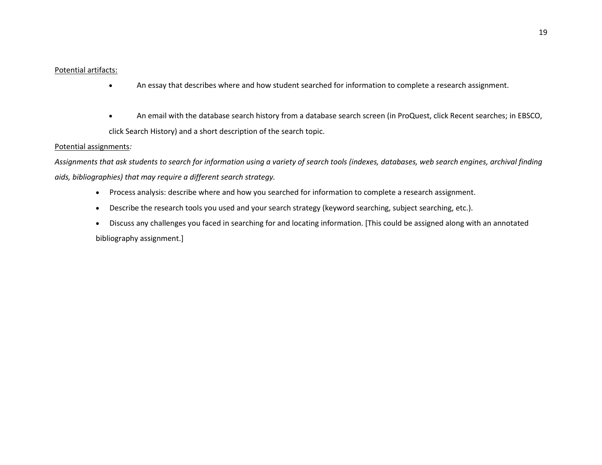- An essay that describes where and how student searched for information to complete a research assignment.
- An email with the database search history from a database search screen (in ProQuest, click Recent searches; in EBSCO, click Search History) and a short description of the search topic.

# Potential assignments*:*

*Assignments that ask students to search for information using a variety of search tools (indexes, databases, web search engines, archival finding aids, bibliographies) that may require a different search strategy.*

- Process analysis: describe where and how you searched for information to complete a research assignment.
- Describe the research tools you used and your search strategy (keyword searching, subject searching, etc.).
- Discuss any challenges you faced in searching for and locating information. [This could be assigned along with an annotated bibliography assignment.]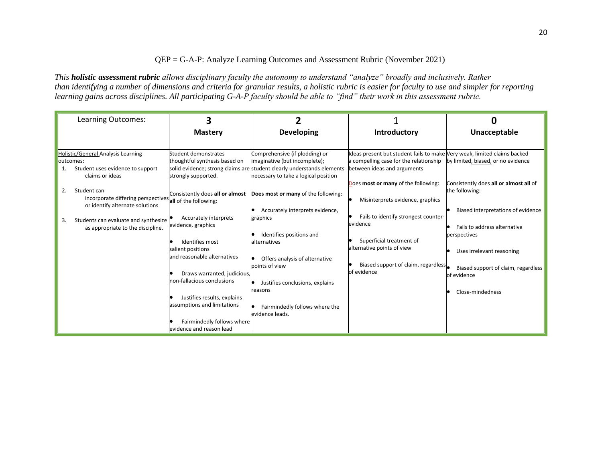# QEP = G-A-P: Analyze Learning Outcomes and Assessment Rubric (November 2021)

*This holistic assessment rubric allows disciplinary faculty the autonomy to understand "analyze" broadly and inclusively. Rather than identifying a number of dimensions and criteria for granular results, a holistic rubric is easier for faculty to use and simpler for reporting learning gains across disciplines. All participating G-A-P faculty should be able to "find" their work in this assessment rubric.*

| Learning Outcomes:                                                              |                                                            |                                                                                                         |                                                                         |                                                    |
|---------------------------------------------------------------------------------|------------------------------------------------------------|---------------------------------------------------------------------------------------------------------|-------------------------------------------------------------------------|----------------------------------------------------|
|                                                                                 | <b>Mastery</b>                                             | <b>Developing</b>                                                                                       | Introductory                                                            | Unacceptable                                       |
| Holistic/General Analysis Learning                                              | Student demonstrates                                       | Comprehensive (if plodding) or                                                                          | deas present but student fails to make Very weak, limited claims backed |                                                    |
| outcomes:<br>Student uses evidence to support                                   | thoughtful synthesis based on                              | imaginative (but incomplete);<br>solid evidence; strong claims are student clearly understands elements | a compelling case for the relationship<br>between ideas and arguments   | by limited, biased, or no evidence                 |
| claims or ideas                                                                 | strongly supported.                                        | necessary to take a logical position                                                                    | Does most or many of the following:                                     | Consistently does all or almost all of             |
| 2.<br>Student can<br>incorporate differing perspectives all of the following:   | Consistently does all or almost                            | Does most or many of the following:                                                                     | Misinterprets evidence, graphics                                        | the following:                                     |
| or identify alternate solutions                                                 | Accurately interprets                                      | Accurately interprets evidence,<br>graphics                                                             | Fails to identify strongest counter-                                    | Biased interpretations of evidence                 |
| Students can evaluate and synthesize<br>3.<br>as appropriate to the discipline. | evidence, graphics                                         |                                                                                                         | evidence                                                                | Fails to address alternative                       |
|                                                                                 | Identifies most                                            | Identifies positions and<br>alternatives                                                                | Superficial treatment of<br>alternative points of view                  | perspectives                                       |
|                                                                                 | salient positions<br>and reasonable alternatives           | Offers analysis of alternative                                                                          |                                                                         | Uses irrelevant reasoning                          |
|                                                                                 | Draws warranted, judicious,                                | points of view                                                                                          | Biased support of claim, regardless<br>of evidence                      | Biased support of claim, regardless<br>of evidence |
|                                                                                 | non-fallacious conclusions                                 | Justifies conclusions, explains<br>reasons                                                              |                                                                         | Close-mindedness                                   |
|                                                                                 | Justifies results, explains<br>assumptions and limitations | Fairmindedly follows where the                                                                          |                                                                         |                                                    |
|                                                                                 | Fairmindedly follows where                                 | evidence leads.                                                                                         |                                                                         |                                                    |
|                                                                                 | evidence and reason lead                                   |                                                                                                         |                                                                         |                                                    |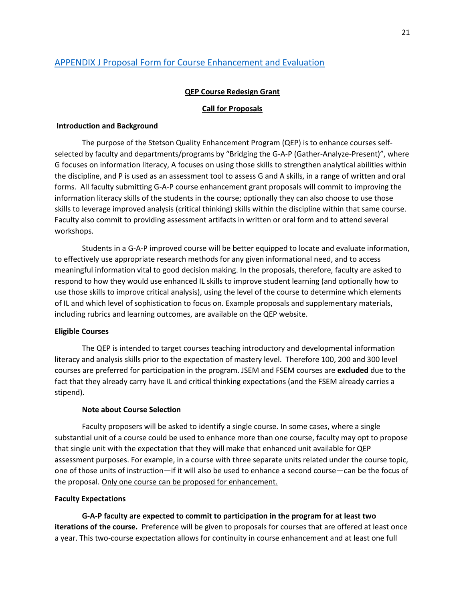# [APPENDIX J Proposal Form for Course Enhancement and Evaluation](file:///C:/Attach/QEP%20Docs/Course%20Redesign%20Proposal%20Form.pdf)

#### **QEP Course Redesign Grant**

#### **Call for Proposals**

#### **Introduction and Background**

The purpose of the Stetson Quality Enhancement Program (QEP) is to enhance courses selfselected by faculty and departments/programs by "Bridging the G-A-P (Gather-Analyze-Present)", where G focuses on information literacy, A focuses on using those skills to strengthen analytical abilities within the discipline, and P is used as an assessment tool to assess G and A skills, in a range of written and oral forms. All faculty submitting G-A-P course enhancement grant proposals will commit to improving the information literacy skills of the students in the course; optionally they can also choose to use those skills to leverage improved analysis (critical thinking) skills within the discipline within that same course. Faculty also commit to providing assessment artifacts in written or oral form and to attend several workshops.

Students in a G-A-P improved course will be better equipped to locate and evaluate information, to effectively use appropriate research methods for any given informational need, and to access meaningful information vital to good decision making. In the proposals, therefore, faculty are asked to respond to how they would use enhanced IL skills to improve student learning (and optionally how to use those skills to improve critical analysis), using the level of the course to determine which elements of IL and which level of sophistication to focus on. Example proposals and supplementary materials, including rubrics and learning outcomes, are available on the QEP website.

#### **Eligible Courses**

The QEP is intended to target courses teaching introductory and developmental information literacy and analysis skills prior to the expectation of mastery level. Therefore 100, 200 and 300 level courses are preferred for participation in the program. JSEM and FSEM courses are **excluded** due to the fact that they already carry have IL and critical thinking expectations (and the FSEM already carries a stipend).

#### **Note about Course Selection**

Faculty proposers will be asked to identify a single course. In some cases, where a single substantial unit of a course could be used to enhance more than one course, faculty may opt to propose that single unit with the expectation that they will make that enhanced unit available for QEP assessment purposes. For example, in a course with three separate units related under the course topic, one of those units of instruction—if it will also be used to enhance a second course—can be the focus of the proposal. Only one course can be proposed for enhancement.

#### **Faculty Expectations**

**G-A-P faculty are expected to commit to participation in the program for at least two iterations of the course.** Preference will be given to proposals for courses that are offered at least once a year. This two-course expectation allows for continuity in course enhancement and at least one full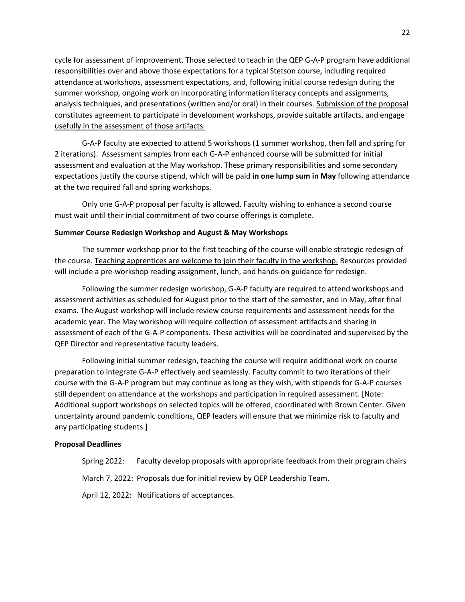cycle for assessment of improvement. Those selected to teach in the QEP G-A-P program have additional responsibilities over and above those expectations for a typical Stetson course, including required attendance at workshops, assessment expectations, and, following initial course redesign during the summer workshop, ongoing work on incorporating information literacy concepts and assignments, analysis techniques, and presentations (written and/or oral) in their courses. Submission of the proposal constitutes agreement to participate in development workshops, provide suitable artifacts, and engage usefully in the assessment of those artifacts.

G-A-P faculty are expected to attend 5 workshops (1 summer workshop, then fall and spring for 2 iterations). Assessment samples from each G-A-P enhanced course will be submitted for initial assessment and evaluation at the May workshop. These primary responsibilities and some secondary expectations justify the course stipend, which will be paid **in one lump sum in May** following attendance at the two required fall and spring workshops.

Only one G-A-P proposal per faculty is allowed. Faculty wishing to enhance a second course must wait until their initial commitment of two course offerings is complete.

#### **Summer Course Redesign Workshop and August & May Workshops**

The summer workshop prior to the first teaching of the course will enable strategic redesign of the course. Teaching apprentices are welcome to join their faculty in the workshop. Resources provided will include a pre-workshop reading assignment, lunch, and hands-on guidance for redesign.

Following the summer redesign workshop, G-A-P faculty are required to attend workshops and assessment activities as scheduled for August prior to the start of the semester, and in May, after final exams. The August workshop will include review course requirements and assessment needs for the academic year. The May workshop will require collection of assessment artifacts and sharing in assessment of each of the G-A-P components. These activities will be coordinated and supervised by the QEP Director and representative faculty leaders.

Following initial summer redesign, teaching the course will require additional work on course preparation to integrate G-A-P effectively and seamlessly. Faculty commit to two iterations of their course with the G-A-P program but may continue as long as they wish, with stipends for G-A-P courses still dependent on attendance at the workshops and participation in required assessment. [Note: Additional support workshops on selected topics will be offered, coordinated with Brown Center. Given uncertainty around pandemic conditions, QEP leaders will ensure that we minimize risk to faculty and any participating students.]

#### **Proposal Deadlines**

Spring 2022: Faculty develop proposals with appropriate feedback from their program chairs

March 7, 2022: Proposals due for initial review by QEP Leadership Team.

April 12, 2022: Notifications of acceptances.